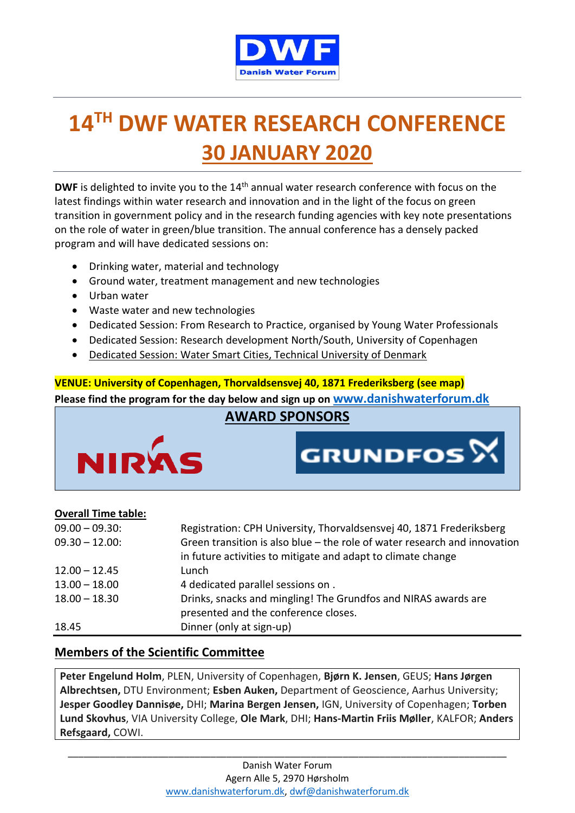

# **14 TH DWF WATER RESEARCH CONFERENCE 30 JANUARY 2020**

DWF is delighted to invite you to the 14<sup>th</sup> annual water research conference with focus on the latest findings within water research and innovation and in the light of the focus on green transition in government policy and in the research funding agencies with key note presentations on the role of water in green/blue transition. The annual conference has a densely packed program and will have dedicated sessions on:

- Drinking water, material and technology
- Ground water, treatment management and new technologies
- Urban water
- Waste water and new technologies
- Dedicated Session: From Research to Practice, organised by Young Water Professionals
- Dedicated Session: Research development North/South, University of Copenhagen
- Dedicated Session: Water Smart Cities, Technical University of Denmark

**VENUE: University of Copenhagen, Thorvaldsensvej 40, 1871 Frederiksberg (see map) Please find the program for the day below and sign up on [www.danishwaterforum.dk](http://www.danishwaterforum.dk/)**

## **AWARD SPONSORS**

**GRUNDFOS**<sup>X</sup>



#### **Overall Time table:**

| $09.00 - 09.30$ : | Registration: CPH University, Thorvaldsensvej 40, 1871 Frederiksberg      |
|-------------------|---------------------------------------------------------------------------|
| $09.30 - 12.00$ : | Green transition is also blue - the role of water research and innovation |
|                   | in future activities to mitigate and adapt to climate change              |
| $12.00 - 12.45$   | Lunch                                                                     |
| $13.00 - 18.00$   | 4 dedicated parallel sessions on.                                         |
| $18.00 - 18.30$   | Drinks, snacks and mingling! The Grundfos and NIRAS awards are            |
|                   | presented and the conference closes.                                      |
| 18.45             | Dinner (only at sign-up)                                                  |

#### **Members of the Scientific Committee**

**Peter Engelund Holm**, PLEN, University of Copenhagen, **Bjørn K. Jensen**, GEUS; **Hans Jørgen Albrechtsen,** DTU Environment; **Esben Auken,** Department of Geoscience, Aarhus University; **Jesper Goodley Dannisøe,** DHI; **Marina Bergen Jensen,** IGN, University of Copenhagen; **Torben Lund Skovhus**, VIA University College, **Ole Mark**, DHI; **Hans-Martin Friis Møller**, KALFOR; **Anders Refsgaard,** COWI.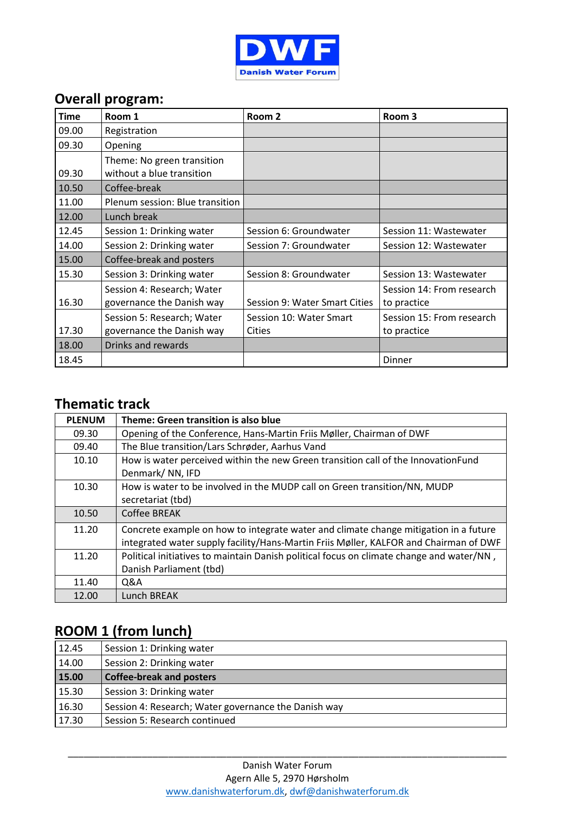

## **Overall program:**

| <b>Time</b> | Room 1                          | Room 2                        | Room 3                    |
|-------------|---------------------------------|-------------------------------|---------------------------|
| 09.00       | Registration                    |                               |                           |
| 09.30       | Opening                         |                               |                           |
|             | Theme: No green transition      |                               |                           |
| 09.30       | without a blue transition       |                               |                           |
| 10.50       | Coffee-break                    |                               |                           |
| 11.00       | Plenum session: Blue transition |                               |                           |
| 12.00       | Lunch break                     |                               |                           |
| 12.45       | Session 1: Drinking water       | Session 6: Groundwater        | Session 11: Wastewater    |
| 14.00       | Session 2: Drinking water       | Session 7: Groundwater        | Session 12: Wastewater    |
| 15.00       | Coffee-break and posters        |                               |                           |
| 15.30       | Session 3: Drinking water       | Session 8: Groundwater        | Session 13: Wastewater    |
|             | Session 4: Research; Water      |                               | Session 14: From research |
| 16.30       | governance the Danish way       | Session 9: Water Smart Cities | to practice               |
|             | Session 5: Research; Water      | Session 10: Water Smart       | Session 15: From research |
| 17.30       | governance the Danish way       | Cities                        | to practice               |
| 18.00       | Drinks and rewards              |                               |                           |
| 18.45       |                                 |                               | Dinner                    |

#### **Thematic track**

| <b>PLENUM</b> | Theme: Green transition is also blue                                                     |
|---------------|------------------------------------------------------------------------------------------|
| 09.30         | Opening of the Conference, Hans-Martin Friis Møller, Chairman of DWF                     |
| 09.40         | The Blue transition/Lars Schrøder, Aarhus Vand                                           |
| 10.10         | How is water perceived within the new Green transition call of the InnovationFund        |
|               | Denmark/NN, IFD                                                                          |
| 10.30         | How is water to be involved in the MUDP call on Green transition/NN, MUDP                |
|               | secretariat (tbd)                                                                        |
| 10.50         | Coffee BREAK                                                                             |
| 11.20         | Concrete example on how to integrate water and climate change mitigation in a future     |
|               | integrated water supply facility/Hans-Martin Friis Møller, KALFOR and Chairman of DWF    |
| 11.20         | Political initiatives to maintain Danish political focus on climate change and water/NN, |
|               | Danish Parliament (tbd)                                                                  |
| 11.40         | Q&A                                                                                      |
| 12.00         | Lunch BREAK                                                                              |

## **ROOM 1 (from lunch)**

| 12.45 | Session 1: Drinking water                            |
|-------|------------------------------------------------------|
| 14.00 | Session 2: Drinking water                            |
| 15.00 | <b>Coffee-break and posters</b>                      |
| 15.30 | Session 3: Drinking water                            |
| 16.30 | Session 4: Research; Water governance the Danish way |
| 17.30 | Session 5: Research continued                        |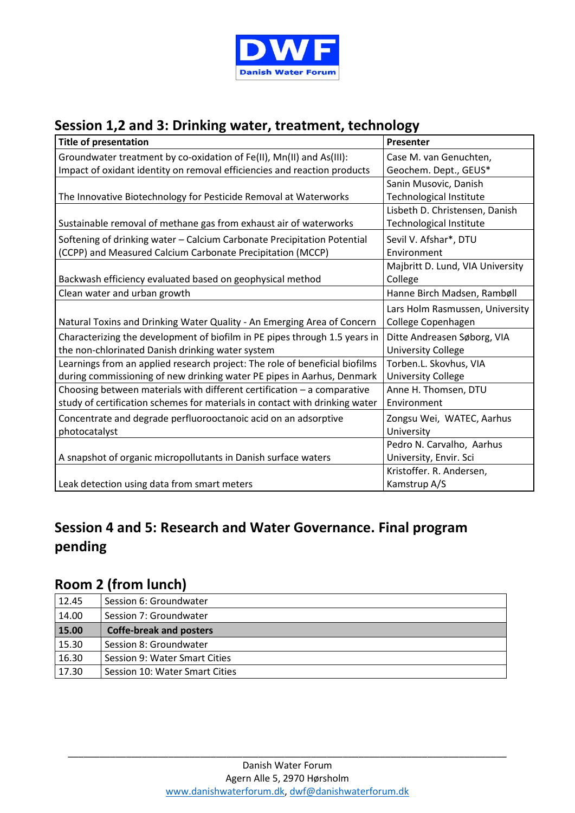

## **Session 1,2 and 3: Drinking water, treatment, technology**

| <b>Title of presentation</b>                                                | Presenter                        |
|-----------------------------------------------------------------------------|----------------------------------|
| Groundwater treatment by co-oxidation of Fe(II), Mn(II) and As(III):        | Case M. van Genuchten,           |
| Impact of oxidant identity on removal efficiencies and reaction products    | Geochem. Dept., GEUS*            |
|                                                                             | Sanin Musovic, Danish            |
| The Innovative Biotechnology for Pesticide Removal at Waterworks            | <b>Technological Institute</b>   |
|                                                                             | Lisbeth D. Christensen, Danish   |
| Sustainable removal of methane gas from exhaust air of waterworks           | Technological Institute          |
| Softening of drinking water - Calcium Carbonate Precipitation Potential     | Sevil V. Afshar*, DTU            |
| (CCPP) and Measured Calcium Carbonate Precipitation (MCCP)                  | Environment                      |
|                                                                             | Majbritt D. Lund, VIA University |
| Backwash efficiency evaluated based on geophysical method                   | College                          |
| Clean water and urban growth                                                | Hanne Birch Madsen, Rambøll      |
|                                                                             | Lars Holm Rasmussen, University  |
| Natural Toxins and Drinking Water Quality - An Emerging Area of Concern     | College Copenhagen               |
| Characterizing the development of biofilm in PE pipes through 1.5 years in  | Ditte Andreasen Søborg, VIA      |
| the non-chlorinated Danish drinking water system                            | <b>University College</b>        |
| Learnings from an applied research project: The role of beneficial biofilms | Torben.L. Skovhus, VIA           |
| during commissioning of new drinking water PE pipes in Aarhus, Denmark      | <b>University College</b>        |
| Choosing between materials with different certification - a comparative     | Anne H. Thomsen, DTU             |
| study of certification schemes for materials in contact with drinking water | Environment                      |
| Concentrate and degrade perfluorooctanoic acid on an adsorptive             | Zongsu Wei, WATEC, Aarhus        |
| photocatalyst                                                               | University                       |
|                                                                             | Pedro N. Carvalho, Aarhus        |
| A snapshot of organic micropollutants in Danish surface waters              | University, Envir. Sci           |
|                                                                             | Kristoffer. R. Andersen,         |
| Leak detection using data from smart meters                                 | Kamstrup A/S                     |

## **Session 4 and 5: Research and Water Governance. Final program pending**

#### **Room 2 (from lunch)**

| 12.45 | Session 6: Groundwater         |
|-------|--------------------------------|
| 14.00 | Session 7: Groundwater         |
| 15.00 | <b>Coffe-break and posters</b> |
| 15.30 | Session 8: Groundwater         |
| 16.30 | Session 9: Water Smart Cities  |
| 17.30 | Session 10: Water Smart Cities |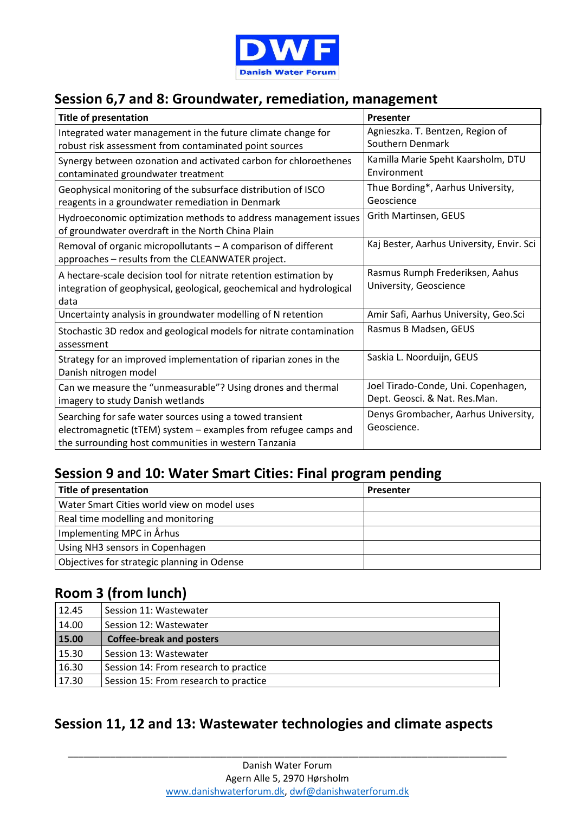

#### **Session 6,7 and 8: Groundwater, remediation, management**

| <b>Title of presentation</b>                                         | Presenter                                 |
|----------------------------------------------------------------------|-------------------------------------------|
| Integrated water management in the future climate change for         | Agnieszka. T. Bentzen, Region of          |
| robust risk assessment from contaminated point sources               | Southern Denmark                          |
| Synergy between ozonation and activated carbon for chloroethenes     | Kamilla Marie Speht Kaarsholm, DTU        |
| contaminated groundwater treatment                                   | Environment                               |
| Geophysical monitoring of the subsurface distribution of ISCO        | Thue Bording*, Aarhus University,         |
| reagents in a groundwater remediation in Denmark                     | Geoscience                                |
| Hydroeconomic optimization methods to address management issues      | Grith Martinsen, GEUS                     |
| of groundwater overdraft in the North China Plain                    |                                           |
| Removal of organic micropollutants - A comparison of different       | Kaj Bester, Aarhus University, Envir. Sci |
| approaches - results from the CLEANWATER project.                    |                                           |
| A hectare-scale decision tool for nitrate retention estimation by    | Rasmus Rumph Frederiksen, Aahus           |
| integration of geophysical, geological, geochemical and hydrological | University, Geoscience                    |
| data                                                                 |                                           |
| Uncertainty analysis in groundwater modelling of N retention         | Amir Safi, Aarhus University, Geo.Sci     |
| Stochastic 3D redox and geological models for nitrate contamination  | Rasmus B Madsen, GEUS                     |
| assessment                                                           |                                           |
| Strategy for an improved implementation of riparian zones in the     | Saskia L. Noorduijn, GEUS                 |
| Danish nitrogen model                                                |                                           |
| Can we measure the "unmeasurable"? Using drones and thermal          | Joel Tirado-Conde, Uni. Copenhagen,       |
| imagery to study Danish wetlands                                     | Dept. Geosci. & Nat. Res.Man.             |
| Searching for safe water sources using a towed transient             | Denys Grombacher, Aarhus University,      |
| electromagnetic (tTEM) system - examples from refugee camps and      | Geoscience.                               |
| the surrounding host communities in western Tanzania                 |                                           |

#### **Session 9 and 10: Water Smart Cities: Final program pending**

| <b>Title of presentation</b>                | <b>Presenter</b> |
|---------------------------------------------|------------------|
| Water Smart Cities world view on model uses |                  |
| Real time modelling and monitoring          |                  |
| Implementing MPC in Århus                   |                  |
| Using NH3 sensors in Copenhagen             |                  |
| Objectives for strategic planning in Odense |                  |

### **Room 3 (from lunch)**

| 12.45 | Session 11: Wastewater                |
|-------|---------------------------------------|
| 14.00 | Session 12: Wastewater                |
| 15.00 | <b>Coffee-break and posters</b>       |
| 15.30 | Session 13: Wastewater                |
| 16.30 | Session 14: From research to practice |
| 17.30 | Session 15: From research to practice |

### **Session 11, 12 and 13: Wastewater technologies and climate aspects**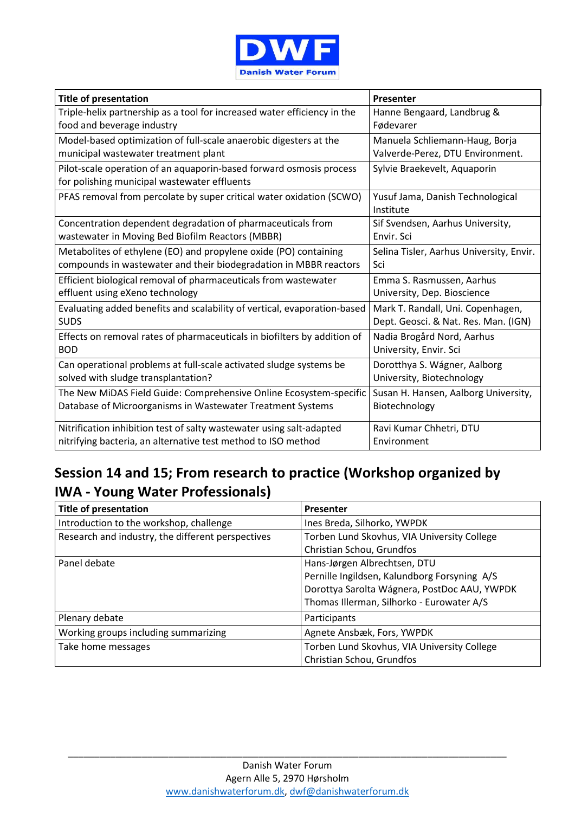

| <b>Title of presentation</b>                                                                                        | Presenter                                     |
|---------------------------------------------------------------------------------------------------------------------|-----------------------------------------------|
| Triple-helix partnership as a tool for increased water efficiency in the                                            | Hanne Bengaard, Landbrug &                    |
| food and beverage industry                                                                                          | Fødevarer                                     |
| Model-based optimization of full-scale anaerobic digesters at the                                                   | Manuela Schliemann-Haug, Borja                |
| municipal wastewater treatment plant                                                                                | Valverde-Perez, DTU Environment.              |
| Pilot-scale operation of an aquaporin-based forward osmosis process<br>for polishing municipal wastewater effluents | Sylvie Braekevelt, Aquaporin                  |
| PFAS removal from percolate by super critical water oxidation (SCWO)                                                | Yusuf Jama, Danish Technological<br>Institute |
| Concentration dependent degradation of pharmaceuticals from                                                         | Sif Svendsen, Aarhus University,              |
| wastewater in Moving Bed Biofilm Reactors (MBBR)                                                                    | Envir. Sci                                    |
| Metabolites of ethylene (EO) and propylene oxide (PO) containing                                                    | Selina Tisler, Aarhus University, Envir.      |
| compounds in wastewater and their biodegradation in MBBR reactors                                                   | Sci                                           |
| Efficient biological removal of pharmaceuticals from wastewater                                                     | Emma S. Rasmussen, Aarhus                     |
| effluent using eXeno technology                                                                                     | University, Dep. Bioscience                   |
| Evaluating added benefits and scalability of vertical, evaporation-based                                            | Mark T. Randall, Uni. Copenhagen,             |
| <b>SUDS</b>                                                                                                         | Dept. Geosci. & Nat. Res. Man. (IGN)          |
| Effects on removal rates of pharmaceuticals in biofilters by addition of                                            | Nadia Brogård Nord, Aarhus                    |
| <b>BOD</b>                                                                                                          | University, Envir. Sci                        |
| Can operational problems at full-scale activated sludge systems be                                                  | Dorotthya S. Wágner, Aalborg                  |
| solved with sludge transplantation?                                                                                 | University, Biotechnology                     |
| The New MiDAS Field Guide: Comprehensive Online Ecosystem-specific                                                  | Susan H. Hansen, Aalborg University,          |
| Database of Microorganisms in Wastewater Treatment Systems                                                          | Biotechnology                                 |
| Nitrification inhibition test of salty wastewater using salt-adapted                                                | Ravi Kumar Chhetri, DTU                       |
| nitrifying bacteria, an alternative test method to ISO method                                                       | Environment                                   |

## **Session 14 and 15; From research to practice (Workshop organized by IWA - Young Water Professionals)**

| <b>Title of presentation</b>                      | <b>Presenter</b>                             |
|---------------------------------------------------|----------------------------------------------|
| Introduction to the workshop, challenge           | Ines Breda, Silhorko, YWPDK                  |
| Research and industry, the different perspectives | Torben Lund Skovhus, VIA University College  |
|                                                   | Christian Schou, Grundfos                    |
| Panel debate                                      | Hans-Jørgen Albrechtsen, DTU                 |
|                                                   | Pernille Ingildsen, Kalundborg Forsyning A/S |
|                                                   | Dorottya Sarolta Wágnera, PostDoc AAU, YWPDK |
|                                                   | Thomas Illerman, Silhorko - Eurowater A/S    |
| Plenary debate                                    | Participants                                 |
| Working groups including summarizing              | Agnete Ansbæk, Fors, YWPDK                   |
| Take home messages                                | Torben Lund Skovhus, VIA University College  |
|                                                   | Christian Schou, Grundfos                    |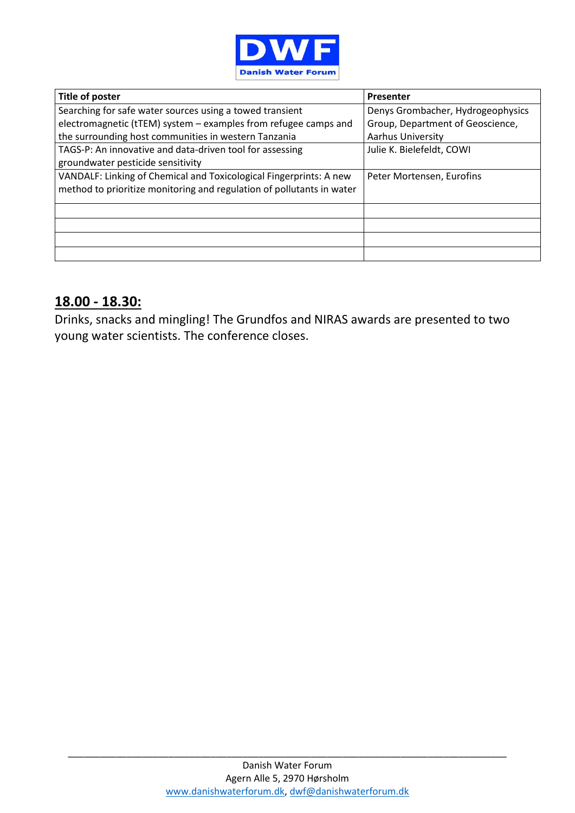

| Title of poster                                                                                                                             | Presenter                         |
|---------------------------------------------------------------------------------------------------------------------------------------------|-----------------------------------|
| Searching for safe water sources using a towed transient                                                                                    | Denys Grombacher, Hydrogeophysics |
| electromagnetic (tTEM) system - examples from refugee camps and                                                                             | Group, Department of Geoscience,  |
| the surrounding host communities in western Tanzania                                                                                        | Aarhus University                 |
| TAGS-P: An innovative and data-driven tool for assessing                                                                                    | Julie K. Bielefeldt, COWI         |
| groundwater pesticide sensitivity                                                                                                           |                                   |
| VANDALF: Linking of Chemical and Toxicological Fingerprints: A new<br>method to prioritize monitoring and regulation of pollutants in water | Peter Mortensen, Eurofins         |
|                                                                                                                                             |                                   |
|                                                                                                                                             |                                   |
|                                                                                                                                             |                                   |
|                                                                                                                                             |                                   |

#### **18.00 - 18.30:**

Drinks, snacks and mingling! The Grundfos and NIRAS awards are presented to two young water scientists. The conference closes.